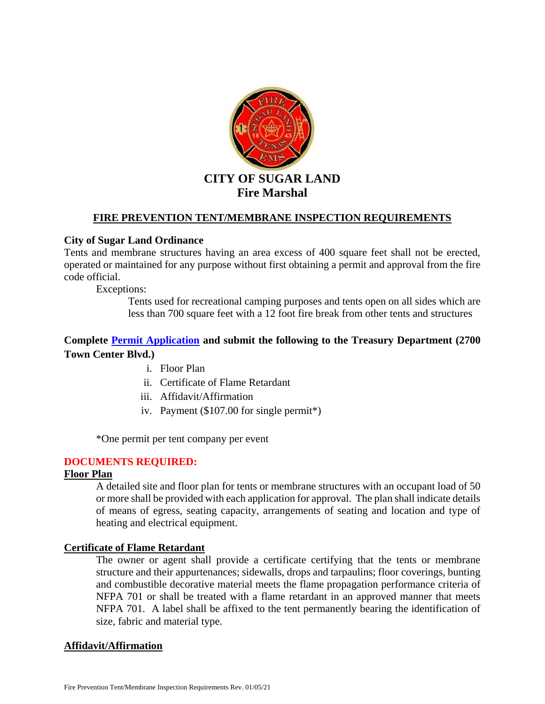

### **FIRE PREVENTION TENT/MEMBRANE INSPECTION REQUIREMENTS**

#### **City of Sugar Land Ordinance**

Tents and membrane structures having an area excess of 400 square feet shall not be erected, operated or maintained for any purpose without first obtaining a permit and approval from the fire code official.

Exceptions:

Tents used for recreational camping purposes and tents open on all sides which are less than 700 square feet with a 12 foot fire break from other tents and structures

# **Complete [Permit Application](http://tx-sugarland.civicplus.com/DocumentCenter/View/296) and submit the following to the Treasury Department (2700 Town Center Blvd.)**

- i. Floor Plan
- ii. Certificate of Flame Retardant
- iii. Affidavit/Affirmation
- iv. Payment (\$107.00 for single permit\*)

\*One permit per tent company per event

### **DOCUMENTS REQUIRED:**

## **Floor Plan**

A detailed site and floor plan for tents or membrane structures with an occupant load of 50 or more shall be provided with each application for approval. The plan shall indicate details of means of egress, seating capacity, arrangements of seating and location and type of heating and electrical equipment.

#### **Certificate of Flame Retardant**

The owner or agent shall provide a certificate certifying that the tents or membrane structure and their appurtenances; sidewalls, drops and tarpaulins; floor coverings, bunting and combustible decorative material meets the flame propagation performance criteria of NFPA 701 or shall be treated with a flame retardant in an approved manner that meets NFPA 701. A label shall be affixed to the tent permanently bearing the identification of size, fabric and material type.

#### **Affidavit/Affirmation**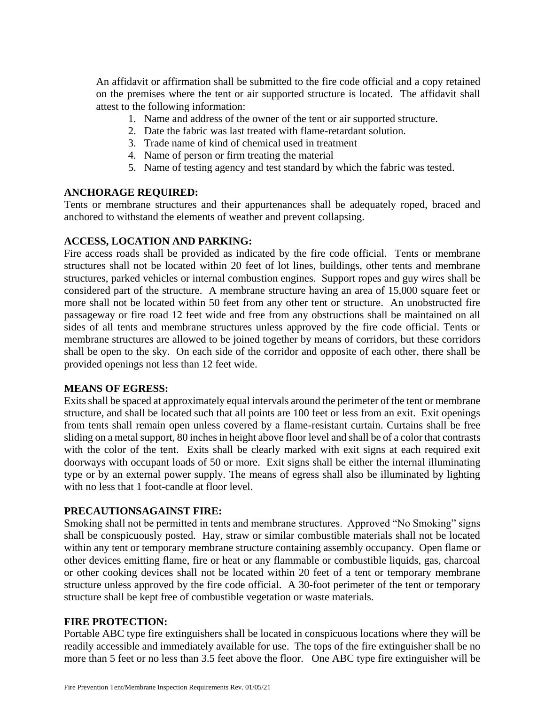An affidavit or affirmation shall be submitted to the fire code official and a copy retained on the premises where the tent or air supported structure is located. The affidavit shall attest to the following information:

- 1. Name and address of the owner of the tent or air supported structure.
- 2. Date the fabric was last treated with flame-retardant solution.
- 3. Trade name of kind of chemical used in treatment
- 4. Name of person or firm treating the material
- 5. Name of testing agency and test standard by which the fabric was tested.

### **ANCHORAGE REQUIRED:**

Tents or membrane structures and their appurtenances shall be adequately roped, braced and anchored to withstand the elements of weather and prevent collapsing.

## **ACCESS, LOCATION AND PARKING:**

Fire access roads shall be provided as indicated by the fire code official. Tents or membrane structures shall not be located within 20 feet of lot lines, buildings, other tents and membrane structures, parked vehicles or internal combustion engines. Support ropes and guy wires shall be considered part of the structure. A membrane structure having an area of 15,000 square feet or more shall not be located within 50 feet from any other tent or structure. An unobstructed fire passageway or fire road 12 feet wide and free from any obstructions shall be maintained on all sides of all tents and membrane structures unless approved by the fire code official. Tents or membrane structures are allowed to be joined together by means of corridors, but these corridors shall be open to the sky. On each side of the corridor and opposite of each other, there shall be provided openings not less than 12 feet wide.

### **MEANS OF EGRESS:**

Exits shall be spaced at approximately equal intervals around the perimeter of the tent or membrane structure, and shall be located such that all points are 100 feet or less from an exit. Exit openings from tents shall remain open unless covered by a flame-resistant curtain. Curtains shall be free sliding on a metal support, 80 inches in height above floor level and shall be of a color that contrasts with the color of the tent. Exits shall be clearly marked with exit signs at each required exit doorways with occupant loads of 50 or more. Exit signs shall be either the internal illuminating type or by an external power supply. The means of egress shall also be illuminated by lighting with no less that 1 foot-candle at floor level.

# **PRECAUTIONSAGAINST FIRE:**

Smoking shall not be permitted in tents and membrane structures. Approved "No Smoking" signs shall be conspicuously posted. Hay, straw or similar combustible materials shall not be located within any tent or temporary membrane structure containing assembly occupancy. Open flame or other devices emitting flame, fire or heat or any flammable or combustible liquids, gas, charcoal or other cooking devices shall not be located within 20 feet of a tent or temporary membrane structure unless approved by the fire code official. A 30-foot perimeter of the tent or temporary structure shall be kept free of combustible vegetation or waste materials.

### **FIRE PROTECTION:**

Portable ABC type fire extinguishers shall be located in conspicuous locations where they will be readily accessible and immediately available for use. The tops of the fire extinguisher shall be no more than 5 feet or no less than 3.5 feet above the floor. One ABC type fire extinguisher will be